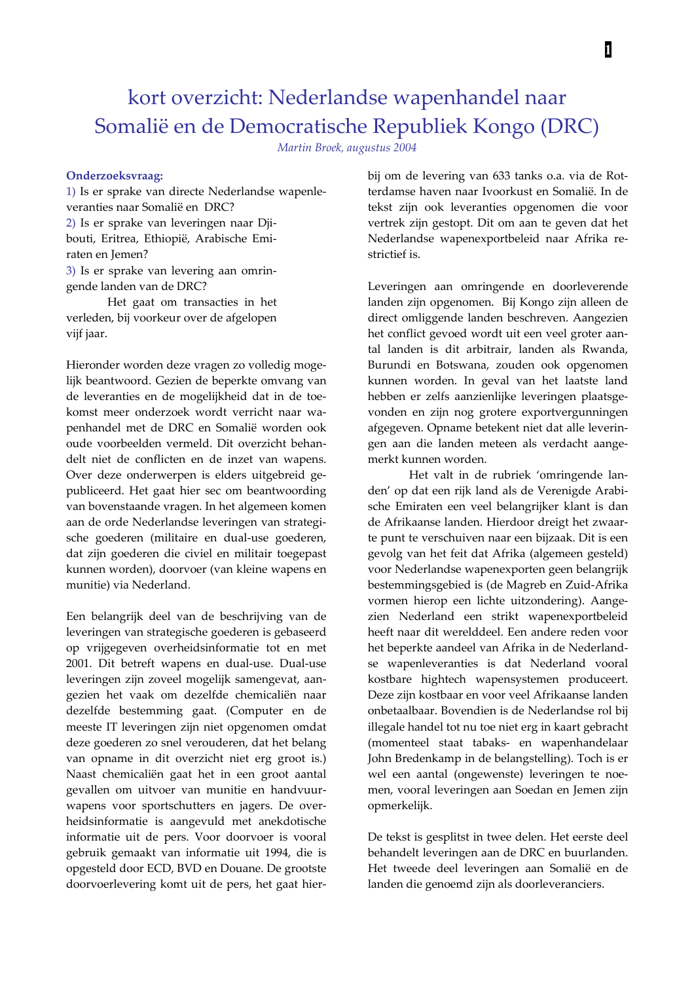# kort overzicht: Nederlandse wapenhandel naar Somalië en de Democratische Republiek Kongo (DRC)

Martin Broek, augustus 2004

### Onderzoeksvraag:

1) Is er sprake van directe Nederlandse wapenleveranties naar Somalië en DRC? 2) Is er sprake van leveringen naar Djibouti, Eritrea, Ethiopië, Arabische Emiraten en Jemen? 3) Is er sprake van levering aan omringende landen van de DRC? Het gaat om transacties in het

verleden, bij voorkeur over de afgelopen vijf jaar.

Hieronder worden deze vragen zo volledig mogelijk beantwoord. Gezien de beperkte omvang van de leveranties en de mogelijkheid dat in de toekomst meer onderzoek wordt verricht naar wapenhandel met de DRC en Somalië worden ook oude voorbeelden vermeld. Dit overzicht behandelt niet de conflicten en de inzet van wapens. Over deze onderwerpen is elders uitgebreid gepubliceerd. Het gaat hier sec om beantwoording van bovenstaande vragen. In het algemeen komen aan de orde Nederlandse leveringen van strategische goederen (militaire en dual-use goederen, dat zijn goederen die civiel en militair toegepast kunnen worden), doorvoer (van kleine wapens en munitie) via Nederland.

Een belangrijk deel van de beschrijving van de leveringen van strategische goederen is gebaseerd op vrijgegeven overheidsinformatie tot en met 2001. Dit betreft wapens en dual-use. Dual-use leveringen zijn zoveel mogelijk samengevat, aangezien het vaak om dezelfde chemicaliën naar dezelfde bestemming gaat. (Computer en de meeste IT leveringen zijn niet opgenomen omdat deze goederen zo snel verouderen, dat het belang van opname in dit overzicht niet erg groot is.) Naast chemicaliën gaat het in een groot aantal gevallen om uitvoer van munitie en handvuurwapens voor sportschutters en jagers. De overheidsinformatie is aangevuld met anekdotische informatie uit de pers. Voor doorvoer is vooral gebruik gemaakt van informatie uit 1994, die is opgesteld door ECD, BVD en Douane. De grootste doorvoerlevering komt uit de pers, het gaat hierbij om de levering van 633 tanks o.a. via de Rotterdamse haven naar Ivoorkust en Somalië. In de tekst zijn ook leveranties opgenomen die voor vertrek zijn gestopt. Dit om aan te geven dat het Nederlandse wapenexportbeleid naar Afrika restrictief is.

Leveringen aan omringende en doorleverende landen zijn opgenomen. Bij Kongo zijn alleen de direct omliggende landen beschreven. Aangezien het conflict gevoed wordt uit een veel groter aantal landen is dit arbitrair, landen als Rwanda, Burundi en Botswana, zouden ook opgenomen kunnen worden. In geval van het laatste land hebben er zelfs aanzienlijke leveringen plaatsgevonden en zijn nog grotere exportvergunningen afgegeven. Opname betekent niet dat alle leveringen aan die landen meteen als verdacht aangemerkt kunnen worden.

Het valt in de rubriek 'omringende landen' op dat een rijk land als de Verenigde Arabische Emiraten een veel belangrijker klant is dan de Afrikaanse landen. Hierdoor dreigt het zwaarte punt te verschuiven naar een bijzaak. Dit is een gevolg van het feit dat Afrika (algemeen gesteld) voor Nederlandse wapenexporten geen belangrijk bestemmingsgebied is (de Magreb en Zuid-Afrika vormen hierop een lichte uitzondering). Aangezien Nederland een strikt wapenexportbeleid heeft naar dit werelddeel. Een andere reden voor het beperkte aandeel van Afrika in de Nederlandse wapenleveranties is dat Nederland vooral kostbare hightech wapensystemen produceert. Deze zijn kostbaar en voor veel Afrikaanse landen onbetaalbaar. Bovendien is de Nederlandse rol bij illegale handel tot nu toe niet erg in kaart gebracht (momenteel staat tabaks- en wapenhandelaar John Bredenkamp in de belangstelling). Toch is er wel een aantal (ongewenste) leveringen te noemen, vooral leveringen aan Soedan en Jemen zijn opmerkelijk.

De tekst is gesplitst in twee delen. Het eerste deel behandelt leveringen aan de DRC en buurlanden. Het tweede deel leveringen aan Somalië en de landen die genoemd zijn als doorleveranciers.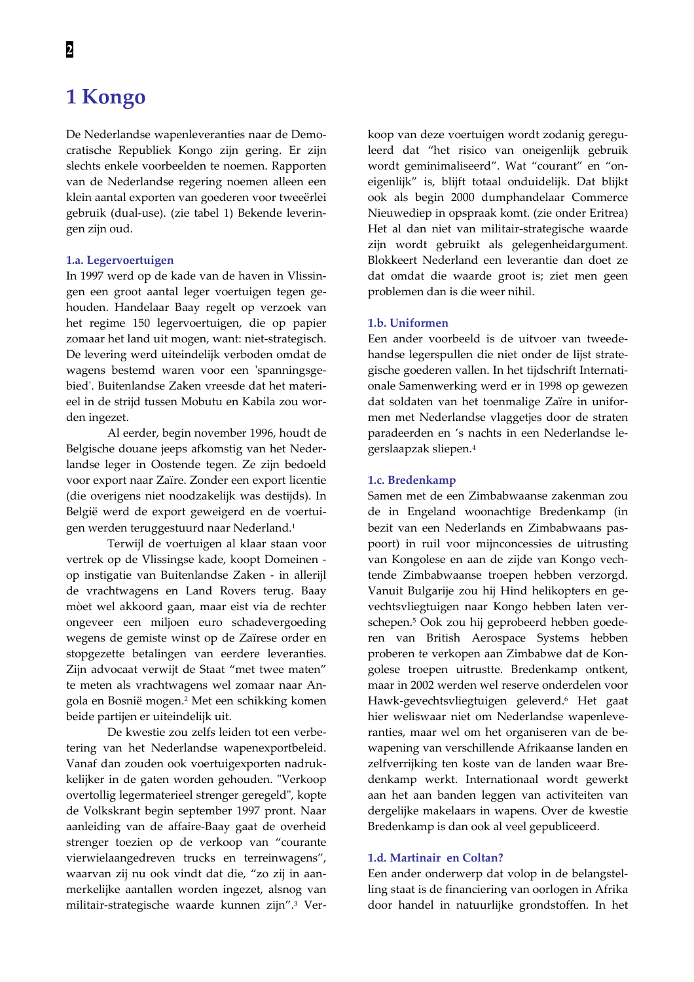# 1 Kongo

De Nederlandse wapenleveranties naar de Democratische Republiek Kongo zijn gering. Er zijn slechts enkele voorbeelden te noemen. Rapporten van de Nederlandse regering noemen alleen een klein aantal exporten van goederen voor tweeërlei gebruik (dual-use). (zie tabel 1) Bekende leveringen zijn oud.

## 1.a. Legervoertuigen

In 1997 werd op de kade van de haven in Vlissingen een groot aantal leger voertuigen tegen gehouden. Handelaar Baay regelt op verzoek van het regime 150 legervoertuigen, die op papier zomaar het land uit mogen, want: niet-strategisch. De levering werd uiteindelijk verboden omdat de wagens bestemd waren voor een 'spanningsgebied'. Buitenlandse Zaken vreesde dat het materieel in de strijd tussen Mobutu en Kabila zou worden ingezet.

Al eerder, begin november 1996, houdt de Belgische douane jeeps afkomstig van het Nederlandse leger in Oostende tegen. Ze zijn bedoeld voor export naar Zaïre. Zonder een export licentie (die overigens niet noodzakelijk was destijds). In België werd de export geweigerd en de voertuigen werden teruggestuurd naar Nederland.<sup>1</sup>

Terwijl de voertuigen al klaar staan voor vertrek op de Vlissingse kade, koopt Domeinen op instigatie van Buitenlandse Zaken - in allerijl de vrachtwagens en Land Rovers terug. Baay mòet wel akkoord gaan, maar eist via de rechter ongeveer een miljoen euro schadevergoeding wegens de gemiste winst op de Zaïrese order en stopgezette betalingen van eerdere leveranties. Zijn advocaat verwijt de Staat "met twee maten" te meten als vrachtwagens wel zomaar naar Angola en Bosnië mogen.<sup>2</sup> Met een schikking komen beide partijen er uiteindelijk uit.

De kwestie zou zelfs leiden tot een verbetering van het Nederlandse wapenexportbeleid. Vanaf dan zouden ook voertuigexporten nadrukkelijker in de gaten worden gehouden. "Verkoop overtollig legermaterieel strenger geregeld", kopte de Volkskrant begin september 1997 pront. Naar aanleiding van de affaire-Baay gaat de overheid strenger toezien op de verkoop van "courante vierwielaangedreven trucks en terreinwagens", waarvan zij nu ook vindt dat die, "zo zij in aanmerkelijke aantallen worden ingezet, alsnog van militair-strategische waarde kunnen zijn".<sup>3</sup> Verkoop van deze voertuigen wordt zodanig gereguleerd dat "het risico van oneigenlijk gebruik wordt geminimaliseerd". Wat "courant" en "oneigenlijk" is, blijft totaal onduidelijk. Dat blijkt ook als begin 2000 dumphandelaar Commerce Nieuwediep in opspraak komt. (zie onder Eritrea) Het al dan niet van militair-strategische waarde zijn wordt gebruikt als gelegenheidargument. Blokkeert Nederland een leverantie dan doet ze dat omdat die waarde groot is; ziet men geen problemen dan is die weer nihil.

#### 1.b. Uniformen

Een ander voorbeeld is de uitvoer van tweedehandse legerspullen die niet onder de lijst strategische goederen vallen. In het tijdschrift Internationale Samenwerking werd er in 1998 op gewezen dat soldaten van het toenmalige Zaïre in uniformen met Nederlandse vlaggetjes door de straten paradeerden en 's nachts in een Nederlandse legerslaapzak sliepen.<sup>4</sup>

#### 1.c. Bredenkamp

Samen met de een Zimbabwaanse zakenman zou de in Engeland woonachtige Bredenkamp (in bezit van een Nederlands en Zimbabwaans paspoort) in ruil voor mijnconcessies de uitrusting van Kongolese en aan de zijde van Kongo vechtende Zimbabwaanse troepen hebben verzorgd. Vanuit Bulgarije zou hij Hind helikopters en gevechtsvliegtuigen naar Kongo hebben laten verschepen.<sup>5</sup> Ook zou hij geprobeerd hebben goederen van British Aerospace Systems hebben proberen te verkopen aan Zimbabwe dat de Kongolese troepen uitrustte. Bredenkamp ontkent, maar in 2002 werden wel reserve onderdelen voor Hawk-gevechtsvliegtuigen geleverd.<sup>6</sup> Het gaat hier weliswaar niet om Nederlandse wapenleveranties, maar wel om het organiseren van de bewapening van verschillende Afrikaanse landen en zelfverrijking ten koste van de landen waar Bredenkamp werkt. Internationaal wordt gewerkt aan het aan banden leggen van activiteiten van dergelijke makelaars in wapens. Over de kwestie Bredenkamp is dan ook al veel gepubliceerd.

#### 1.d. Martinair en Coltan?

Een ander onderwerp dat volop in de belangstelling staat is de financiering van oorlogen in Afrika door handel in natuurlijke grondstoffen. In het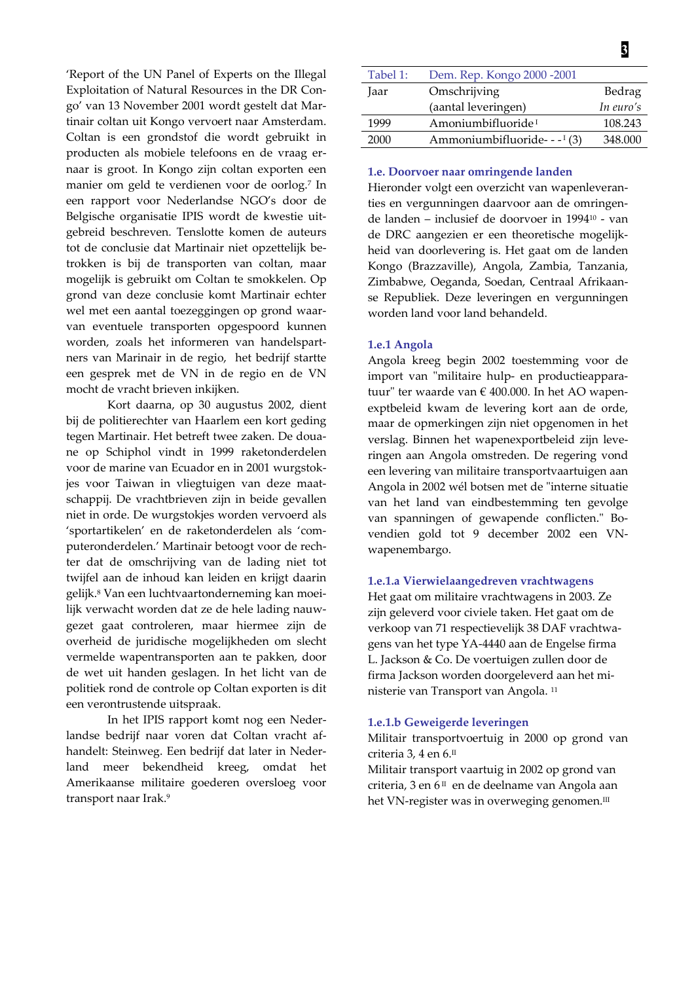'Report of the UN Panel of Experts on the Illegal Exploitation of Natural Resources in the DR Congo' van 13 November 2001 wordt gestelt dat Martinair coltan uit Kongo vervoert naar Amsterdam. Coltan is een grondstof die wordt gebruikt in producten als mobiele telefoons en de vraag ernaar is groot. In Kongo zijn coltan exporten een manier om geld te verdienen voor de oorlog.7 In een rapport voor Nederlandse NGO's door de Belgische organisatie IPIS wordt de kwestie uitgebreid beschreven. Tenslotte komen de auteurs tot de conclusie dat Martinair niet opzettelijk betrokken is bij de transporten van coltan, maar mogelijk is gebruikt om Coltan te smokkelen. Op grond van deze conclusie komt Martinair echter wel met een aantal toezeggingen op grond waarvan eventuele transporten opgespoord kunnen worden, zoals het informeren van handelspartners van Marinair in de regio, het bedrijf startte een gesprek met de VN in de regio en de VN mocht de vracht brieven inkijken.

Kort daarna, op 30 augustus 2002, dient bij de politierechter van Haarlem een kort geding tegen Martinair. Het betreft twee zaken. De douane op Schiphol vindt in 1999 raketonderdelen voor de marine van Ecuador en in 2001 wurgstokjes voor Taiwan in vliegtuigen van deze maatschappij. De vrachtbrieven zijn in beide gevallen niet in orde. De wurgstokjes worden vervoerd als 'sportartikelen' en de raketonderdelen als 'computeronderdelen.' Martinair betoogt voor de rechter dat de omschrijving van de lading niet tot twijfel aan de inhoud kan leiden en krijgt daarin gelijk.<sup>8</sup> Van een luchtvaartonderneming kan moeilijk verwacht worden dat ze de hele lading nauwgezet gaat controleren, maar hiermee zijn de overheid de juridische mogelijkheden om slecht vermelde wapentransporten aan te pakken, door de wet uit handen geslagen. In het licht van de politiek rond de controle op Coltan exporten is dit een verontrustende uitspraak.

In het IPIS rapport komt nog een Nederlandse bedrijf naar voren dat Coltan vracht afhandelt: Steinweg. Een bedrijf dat later in Nedermeer bekendheid kreeg, land omdat het Amerikaanse militaire goederen oversloeg voor transport naar Irak.<sup>9</sup>

| Tabel 1: | Dem. Rep. Kongo 2000 - 2001              |           |
|----------|------------------------------------------|-----------|
| Jaar     | Omschrijving                             | Bedrag    |
|          | (aantal leveringen)                      | In euro's |
| 1999     | Amoniumbifluoride <sup>1</sup>           | 108.243   |
| 2000     | Ammoniumbifluoride- - - <sup>1</sup> (3) | 348.000   |

#### 1.e. Doorvoer naar omringende landen

Hieronder volgt een overzicht van wapenleveranties en vergunningen daarvoor aan de omringende landen – inclusief de doorvoer in 1994<sup>10</sup> - van de DRC aangezien er een theoretische mogelijkheid van doorlevering is. Het gaat om de landen Kongo (Brazzaville), Angola, Zambia, Tanzania, Zimbabwe, Oeganda, Soedan, Centraal Afrikaanse Republiek. Deze leveringen en vergunningen worden land voor land behandeld.

#### 1.e.1 Angola

Angola kreeg begin 2002 toestemming voor de import van "militaire hulp- en productieapparatuur" ter waarde van € 400.000. In het AO wapenexptbeleid kwam de levering kort aan de orde, maar de opmerkingen zijn niet opgenomen in het verslag. Binnen het wapenexportbeleid zijn leveringen aan Angola omstreden. De regering vond een levering van militaire transportvaartuigen aan Angola in 2002 wél botsen met de "interne situatie van het land van eindbestemming ten gevolge van spanningen of gewapende conflicten." Bovendien gold tot 9 december 2002 een VNwapenembargo.

#### 1.e.1.a Vierwielaangedreven vrachtwagens

Het gaat om militaire vrachtwagens in 2003. Ze zijn geleverd voor civiele taken. Het gaat om de verkoop van 71 respectievelijk 38 DAF vrachtwagens van het type YA-4440 aan de Engelse firma L. Jackson & Co. De voertuigen zullen door de firma Jackson worden doorgeleverd aan het ministerie van Transport van Angola.<sup>11</sup>

#### 1.e.1.b Geweigerde leveringen

Militair transportvoertuig in 2000 op grond van criteria 3, 4 en 6.<sup>II</sup>

Militair transport vaartuig in 2002 op grond van criteria, 3 en 6<sup>II</sup> en de deelname van Angola aan het VN-register was in overweging genomen.<sup>III</sup>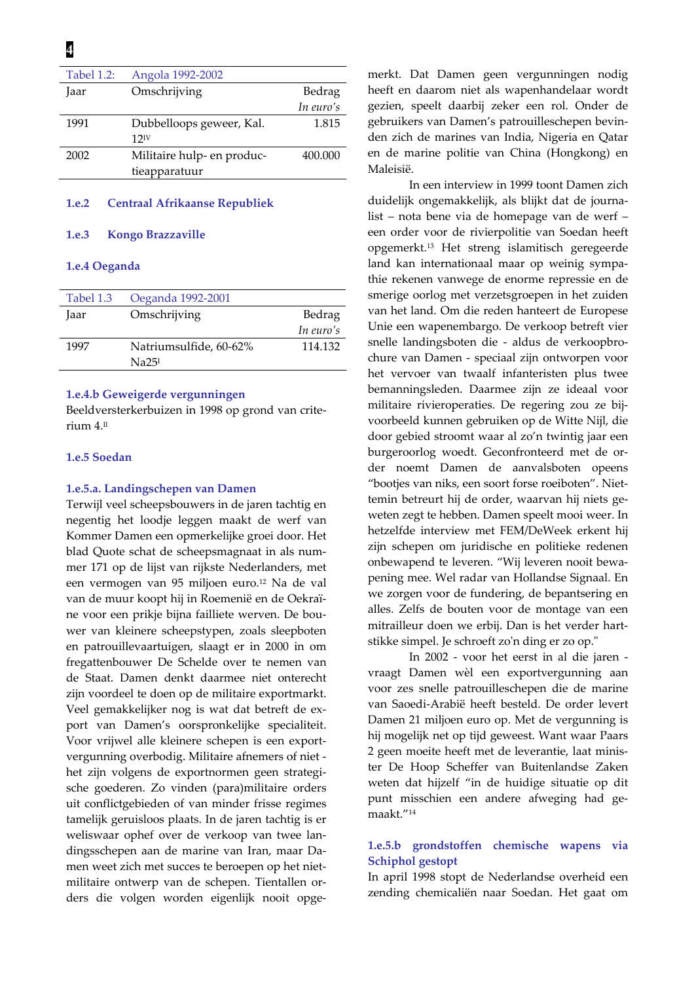| Angola 1992-2002           |           |
|----------------------------|-----------|
| Omschrijving               | Bedrag    |
|                            | In euro's |
| Dubbelloops geweer, Kal.   | 1.815     |
| $12^{\rm IV}$              |           |
| Militaire hulp- en produc- | 400.000   |
| tieapparatuur              |           |
|                            |           |

#### $1.e.2$ **Centraal Afrikaanse Republiek**

#### 1.e.3 **Kongo Brazzaville**

# 1.e.4 Oeganda

| Tabel 1.3 | Oeganda 1992-2001      |           |
|-----------|------------------------|-----------|
| Jaar      | Omschrijving           | Bedrag    |
|           |                        | In euro's |
| 1997      | Natriumsulfide, 60-62% | 114.132   |
|           | Na25 <sup>I</sup>      |           |

# 1.e.4.b Geweigerde vergunningen

Beeldversterkerbuizen in 1998 op grond van criterium 4.<sup>II</sup>

# 1.e.5 Soedan

### 1.e.5.a. Landingschepen van Damen

Terwijl veel scheepsbouwers in de jaren tachtig en negentig het loodje leggen maakt de werf van Kommer Damen een opmerkelijke groei door. Het blad Quote schat de scheepsmagnaat in als nummer 171 op de lijst van rijkste Nederlanders, met een vermogen van 95 miljoen euro.<sup>12</sup> Na de val van de muur koopt hij in Roemenië en de Oekraïne voor een prikje bijna failliete werven. De bouwer van kleinere scheepstypen, zoals sleepboten en patrouillevaartuigen, slaagt er in 2000 in om fregattenbouwer De Schelde over te nemen van de Staat. Damen denkt daarmee niet onterecht zijn voordeel te doen op de militaire exportmarkt. Veel gemakkelijker nog is wat dat betreft de export van Damen's oorspronkelijke specialiteit. Voor vrijwel alle kleinere schepen is een exportvergunning overbodig. Militaire afnemers of niet het zijn volgens de exportnormen geen strategische goederen. Zo vinden (para)militaire orders uit conflictgebieden of van minder frisse regimes tamelijk geruisloos plaats. In de jaren tachtig is er weliswaar ophef over de verkoop van twee landingsschepen aan de marine van Iran, maar Damen weet zich met succes te beroepen op het nietmilitaire ontwerp van de schepen. Tientallen orders die volgen worden eigenlijk nooit opgemerkt. Dat Damen geen vergunningen nodig heeft en daarom niet als wapenhandelaar wordt gezien, speelt daarbij zeker een rol. Onder de gebruikers van Damen's patrouilleschepen bevinden zich de marines van India, Nigeria en Qatar en de marine politie van China (Hongkong) en Maleisië.

In een interview in 1999 toont Damen zich duidelijk ongemakkelijk, als blijkt dat de journalist - nota bene via de homepage van de werf een order voor de rivierpolitie van Soedan heeft opgemerkt.<sup>13</sup> Het streng islamitisch geregeerde land kan internationaal maar op weinig sympathie rekenen vanwege de enorme repressie en de smerige oorlog met verzetsgroepen in het zuiden van het land. Om die reden hanteert de Europese Unie een wapenembargo. De verkoop betreft vier snelle landingsboten die - aldus de verkoopbrochure van Damen - speciaal zijn ontworpen voor het vervoer van twaalf infanteristen plus twee bemanningsleden. Daarmee zijn ze ideaal voor militaire rivieroperaties. De regering zou ze bijvoorbeeld kunnen gebruiken op de Witte Nijl, die door gebied stroomt waar al zo'n twintig jaar een burgeroorlog woedt. Geconfronteerd met de order noemt Damen de aanvalsboten opeens "bootjes van niks, een soort forse roeiboten". Niettemin betreurt hij de order, waarvan hij niets geweten zegt te hebben. Damen speelt mooi weer. In hetzelfde interview met FEM/DeWeek erkent hij zijn schepen om juridische en politieke redenen onbewapend te leveren. "Wij leveren nooit bewapening mee. Wel radar van Hollandse Signaal. En we zorgen voor de fundering, de bepantsering en alles. Zelfs de bouten voor de montage van een mitrailleur doen we erbij. Dan is het verder hartstikke simpel. Je schroeft zo'n ding er zo op."

In 2002 - voor het eerst in al die jaren vraagt Damen wèl een exportvergunning aan voor zes snelle patrouilleschepen die de marine van Saoedi-Arabië heeft besteld. De order levert Damen 21 miljoen euro op. Met de vergunning is hij mogelijk net op tijd geweest. Want waar Paars 2 geen moeite heeft met de leverantie, laat minister De Hoop Scheffer van Buitenlandse Zaken weten dat hijzelf "in de huidige situatie op dit punt misschien een andere afweging had gemaakt."<sup>14</sup>

# 1.e.5.b grondstoffen chemische wapens via Schiphol gestopt

In april 1998 stopt de Nederlandse overheid een zending chemicaliën naar Soedan. Het gaat om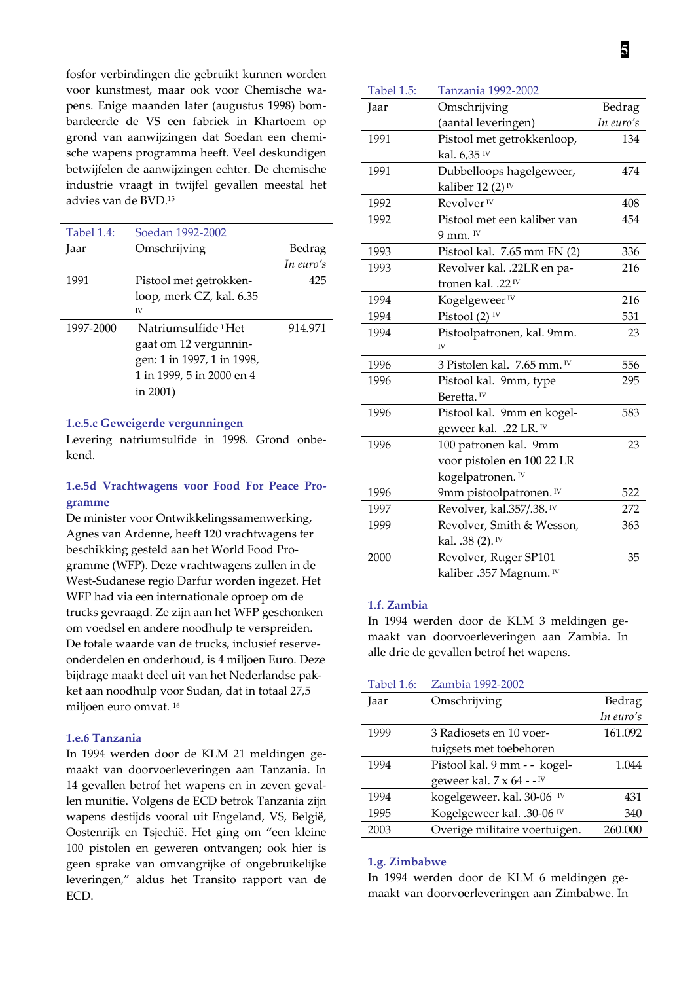fosfor verbindingen die gebruikt kunnen worden voor kunstmest, maar ook voor Chemische wapens. Enige maanden later (augustus 1998) bombardeerde de VS een fabriek in Khartoem op grond van aanwijzingen dat Soedan een chemische wapens programma heeft. Veel deskundigen betwijfelen de aanwijzingen echter. De chemische industrie vraagt in twijfel gevallen meestal het advies van de BVD.<sup>15</sup>

| <b>Tabel 1.4:</b> | Soedan 1992-2002                |           |
|-------------------|---------------------------------|-----------|
| Jaar              | Omschrijving                    | Bedrag    |
|                   |                                 | In euro's |
| 1991              | Pistool met getrokken-          | 425       |
|                   | loop, merk CZ, kal. 6.35        |           |
|                   | IV                              |           |
| 1997-2000         | Natriumsulfide <sup>1</sup> Het | 914.971   |
|                   | gaat om 12 vergunnin-           |           |
|                   | gen: 1 in 1997, 1 in 1998,      |           |
|                   | 1 in 1999, 5 in 2000 en 4       |           |
|                   | in 2001)                        |           |

#### 1.e.5.c Geweigerde vergunningen

Levering natriumsulfide in 1998. Grond onbekend.

# 1.e.5d Vrachtwagens voor Food For Peace Programme

De minister voor Ontwikkelingssamenwerking, Agnes van Ardenne, heeft 120 vrachtwagens ter beschikking gesteld aan het World Food Programme (WFP). Deze vrachtwagens zullen in de West-Sudanese regio Darfur worden ingezet. Het WFP had via een internationale oproep om de trucks gevraagd. Ze zijn aan het WFP geschonken om voedsel en andere noodhulp te verspreiden. De totale waarde van de trucks, inclusief reserveonderdelen en onderhoud, is 4 miljoen Euro. Deze bijdrage maakt deel uit van het Nederlandse pakket aan noodhulp voor Sudan, dat in totaal 27,5 miljoen euro omvat.<sup>16</sup>

# 1.e.6 Tanzania

In 1994 werden door de KLM 21 meldingen gemaakt van doorvoerleveringen aan Tanzania. In 14 gevallen betrof het wapens en in zeven gevallen munitie. Volgens de ECD betrok Tanzania zijn wapens destijds vooral uit Engeland, VS, België, Oostenrijk en Tsjechië. Het ging om "een kleine 100 pistolen en geweren ontvangen; ook hier is geen sprake van omvangrijke of ongebruikelijke leveringen," aldus het Transito rapport van de ECD.

| 5            |
|--------------|
|              |
| <b>Bedra</b> |

| <b>Tabel 1.5:</b> | Tanzania 1992-2002             |           |
|-------------------|--------------------------------|-----------|
| Jaar              | Omschrijving                   | Bedrag    |
|                   | (aantal leveringen)            | In euro's |
| 1991              | Pistool met getrokkenloop,     | 134       |
|                   | kal. 6,35 IV                   |           |
| 1991              | Dubbelloops hagelgeweer,       | 474       |
|                   | kaliber 12 $(2)$ <sup>IV</sup> |           |
| 1992              | Revolver <sup>IV</sup>         | 408       |
| 1992              | Pistool met een kaliber van    | 454       |
|                   | 9 mm. <sup>IV</sup>            |           |
| 1993              | Pistool kal. 7.65 mm FN (2)    | 336       |
| 1993              | Revolver kal. .22LR en pa-     | 216       |
|                   | tronen kal. .22 <sup>IV</sup>  |           |
| 1994              | Kogelgeweer <sup>IV</sup>      | 216       |
| 1994              | Pistool $(2)$ <sup>IV</sup>    | 531       |
| 1994              | Pistoolpatronen, kal. 9mm.     | 23        |
|                   | IV                             |           |
| 1996              | 3 Pistolen kal. 7.65 mm. IV    | 556       |
| 1996              | Pistool kal. 9mm, type         | 295       |
|                   | Beretta. <sup>IV</sup>         |           |
| 1996              | Pistool kal. 9mm en kogel-     | 583       |
|                   | geweer kal. .22 LR. IV         |           |
| 1996              | 100 patronen kal. 9mm          | 23        |
|                   | voor pistolen en 100 22 LR     |           |
|                   | kogelpatronen. <sup>IV</sup>   |           |
| 1996              | 9mm pistoolpatronen. IV        | 522       |
| 1997              | Revolver, kal.357/.38. IV      | 272       |
| 1999              | Revolver, Smith & Wesson,      | 363       |
|                   | kal. .38 $(2)$ . <sup>IV</sup> |           |
| 2000              | Revolver, Ruger SP101          | 35        |
|                   | kaliber .357 Magnum. IV        |           |

### 1.f. Zambia

In 1994 werden door de KLM 3 meldingen gemaakt van doorvoerleveringen aan Zambia. In alle drie de gevallen betrof het wapens.

| <b>Tabel 1.6:</b> | Zambia 1992-2002                                   |           |
|-------------------|----------------------------------------------------|-----------|
| Jaar              | Omschrijving                                       | Bedrag    |
|                   |                                                    | In euro's |
| 1999              | 3 Radiosets en 10 voer-                            | 161.092   |
|                   | tuigsets met toebehoren                            |           |
| 1994              | Pistool kal. 9 mm - - kogel-                       | 1.044     |
|                   | geweer kal. $7 \times 64$ - $\text{-}^{\text{IV}}$ |           |
| 1994              | kogelgeweer. kal. 30-06 <sup>IV</sup>              | 431       |
| 1995              | Kogelgeweer kal. .30-06 <sup>IV</sup>              | 340       |
| 2003              | Overige militaire voertuigen.                      | 260.000   |

#### 1.g. Zimbabwe

In 1994 werden door de KLM 6 meldingen gemaakt van doorvoerleveringen aan Zimbabwe. In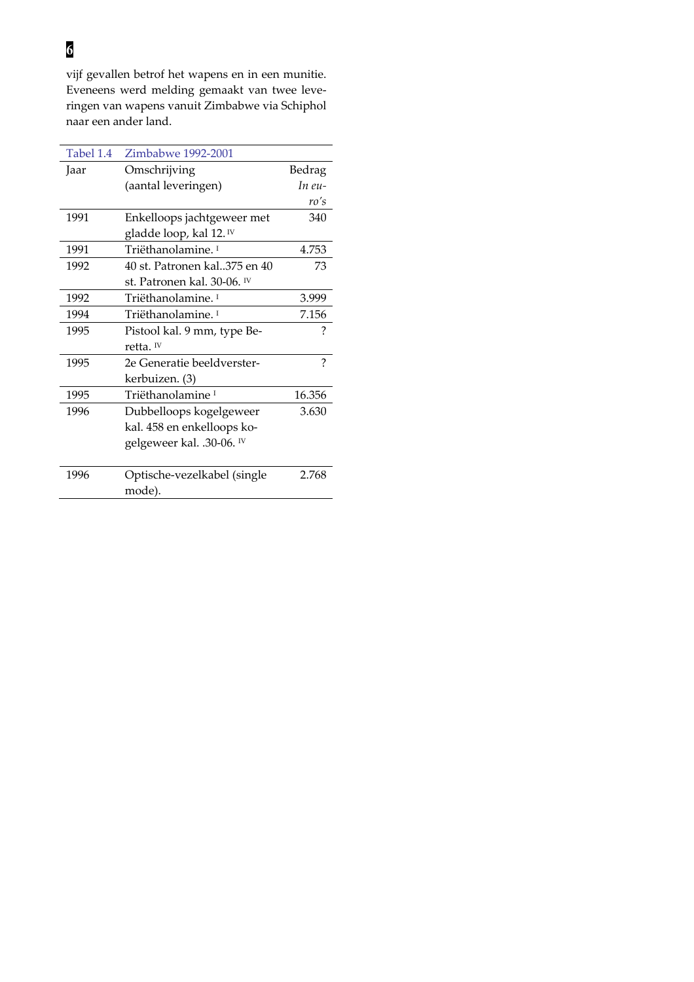# $\overline{6}$

vijf gevallen betrof het wapens en in een munitie. Eveneens werd melding gemaakt van twee leveringen van wapens vanuit Zimbabwe via Schiphol naar een ander land.

| Omschrijving<br>Bedrag<br>Jaar<br>(aantal leveringen)<br>In $eu$ -<br>ro's<br>340<br>1991<br>Enkelloops jachtgeweer met<br>gladde loop, kal 12. <sup>IV</sup><br>Triëthanolamine. <sup>1</sup><br>1991<br>4.753<br>1992<br>40 st. Patronen kal. 375 en 40<br>73<br>st. Patronen kal. 30-06. <sup>IV</sup><br>Triëthanolamine. <sup>1</sup><br>1992<br>3.999<br>1994<br>Triëthanolamine. <sup>1</sup><br>7.156<br>?<br>1995<br>Pistool kal. 9 mm, type Be-<br>retta. $W$<br>?<br>2e Generatie beeldverster-<br>1995<br>kerbuizen. (3)<br>Triëthanolamine <sup>1</sup><br>16.356<br>1995<br>3.630<br>1996<br>Dubbelloops kogelgeweer<br>kal. 458 en enkelloops ko- |
|------------------------------------------------------------------------------------------------------------------------------------------------------------------------------------------------------------------------------------------------------------------------------------------------------------------------------------------------------------------------------------------------------------------------------------------------------------------------------------------------------------------------------------------------------------------------------------------------------------------------------------------------------------------|
|                                                                                                                                                                                                                                                                                                                                                                                                                                                                                                                                                                                                                                                                  |
|                                                                                                                                                                                                                                                                                                                                                                                                                                                                                                                                                                                                                                                                  |
|                                                                                                                                                                                                                                                                                                                                                                                                                                                                                                                                                                                                                                                                  |
|                                                                                                                                                                                                                                                                                                                                                                                                                                                                                                                                                                                                                                                                  |
|                                                                                                                                                                                                                                                                                                                                                                                                                                                                                                                                                                                                                                                                  |
|                                                                                                                                                                                                                                                                                                                                                                                                                                                                                                                                                                                                                                                                  |
|                                                                                                                                                                                                                                                                                                                                                                                                                                                                                                                                                                                                                                                                  |
|                                                                                                                                                                                                                                                                                                                                                                                                                                                                                                                                                                                                                                                                  |
|                                                                                                                                                                                                                                                                                                                                                                                                                                                                                                                                                                                                                                                                  |
|                                                                                                                                                                                                                                                                                                                                                                                                                                                                                                                                                                                                                                                                  |
|                                                                                                                                                                                                                                                                                                                                                                                                                                                                                                                                                                                                                                                                  |
|                                                                                                                                                                                                                                                                                                                                                                                                                                                                                                                                                                                                                                                                  |
|                                                                                                                                                                                                                                                                                                                                                                                                                                                                                                                                                                                                                                                                  |
|                                                                                                                                                                                                                                                                                                                                                                                                                                                                                                                                                                                                                                                                  |
|                                                                                                                                                                                                                                                                                                                                                                                                                                                                                                                                                                                                                                                                  |
|                                                                                                                                                                                                                                                                                                                                                                                                                                                                                                                                                                                                                                                                  |
|                                                                                                                                                                                                                                                                                                                                                                                                                                                                                                                                                                                                                                                                  |
| gelgeweer kal. .30-06. IV                                                                                                                                                                                                                                                                                                                                                                                                                                                                                                                                                                                                                                        |
|                                                                                                                                                                                                                                                                                                                                                                                                                                                                                                                                                                                                                                                                  |
| 1996<br>Optische-vezelkabel (single<br>2.768                                                                                                                                                                                                                                                                                                                                                                                                                                                                                                                                                                                                                     |
| mode).                                                                                                                                                                                                                                                                                                                                                                                                                                                                                                                                                                                                                                                           |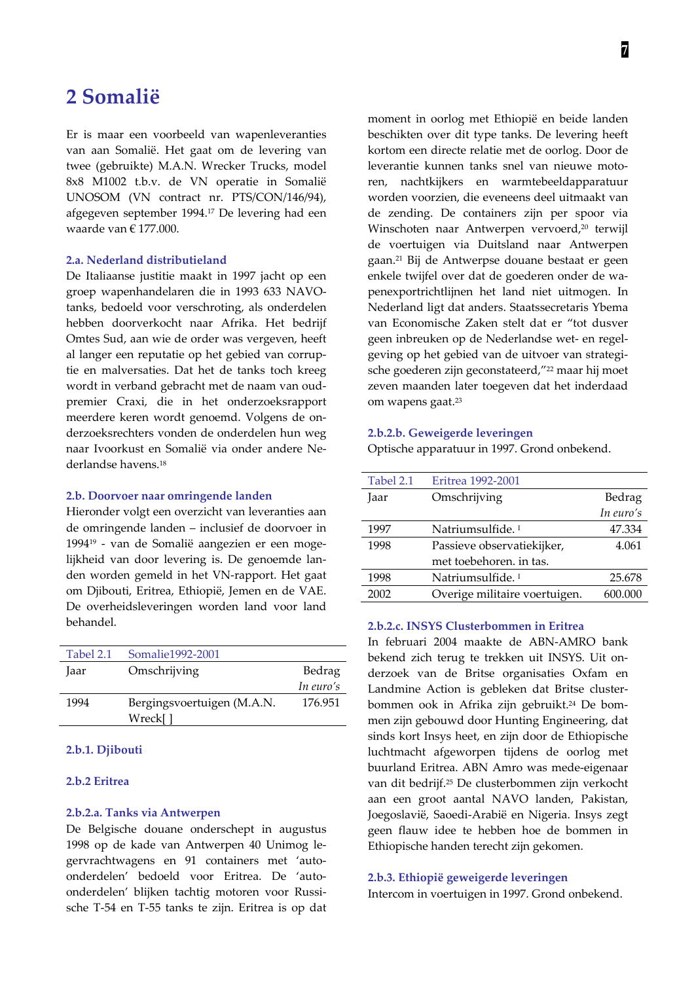# 2 Somalië

Er is maar een voorbeeld van wapenleveranties van aan Somalië. Het gaat om de levering van twee (gebruikte) M.A.N. Wrecker Trucks, model 8x8 M1002 t.b.v. de VN operatie in Somalië UNOSOM (VN contract nr. PTS/CON/146/94), afgegeven september 1994.<sup>17</sup> De levering had een waarde van  $\in$  177.000.

# 2.a. Nederland distributieland

De Italiaanse justitie maakt in 1997 jacht op een groep wapenhandelaren die in 1993 633 NAVOtanks, bedoeld voor verschroting, als onderdelen hebben doorverkocht naar Afrika. Het bedrijf Omtes Sud, aan wie de order was vergeven, heeft al langer een reputatie op het gebied van corruptie en malversaties. Dat het de tanks toch kreeg wordt in verband gebracht met de naam van oudpremier Craxi, die in het onderzoeksrapport meerdere keren wordt genoemd. Volgens de onderzoeksrechters vonden de onderdelen hun weg naar Ivoorkust en Somalië via onder andere Nederlandse havens.<sup>18</sup>

#### 2.b. Doorvoer naar omringende landen

Hieronder volgt een overzicht van leveranties aan de omringende landen - inclusief de doorvoer in 1994<sup>19</sup> - van de Somalië aangezien er een mogelijkheid van door levering is. De genoemde landen worden gemeld in het VN-rapport. Het gaat om Djibouti, Eritrea, Ethiopië, Jemen en de VAE. De overheidsleveringen worden land voor land behandel.

| Tabel 2.1 | Somalie 1992-2001          |           |
|-----------|----------------------------|-----------|
| Jaar      | Omschrijving               | Bedrag    |
|           |                            | In euro's |
| 1994      | Bergingsvoertuigen (M.A.N. | 176.951   |
|           | Wreck[]                    |           |

# 2.b.1. Djibouti

#### 2.b.2 Eritrea

### 2.b.2.a. Tanks via Antwerpen

De Belgische douane onderschept in augustus 1998 op de kade van Antwerpen 40 Unimog legervrachtwagens en 91 containers met 'autoonderdelen' bedoeld voor Eritrea. De 'autoonderdelen' blijken tachtig motoren voor Russische T-54 en T-55 tanks te zijn. Eritrea is op dat moment in oorlog met Ethiopië en beide landen beschikten over dit type tanks. De levering heeft kortom een directe relatie met de oorlog. Door de leverantie kunnen tanks snel van nieuwe motoren, nachtkijkers en warmtebeeldapparatuur worden voorzien, die eveneens deel uitmaakt van de zending. De containers zijn per spoor via Winschoten naar Antwerpen vervoerd,<sup>20</sup> terwijl de voertuigen via Duitsland naar Antwerpen gaan.<sup>21</sup> Bij de Antwerpse douane bestaat er geen enkele twijfel over dat de goederen onder de wapenexportrichtlijnen het land niet uitmogen. In Nederland ligt dat anders. Staatssecretaris Ybema van Economische Zaken stelt dat er "tot dusver geen inbreuken op de Nederlandse wet- en regelgeving op het gebied van de uitvoer van strategische goederen zijn geconstateerd,"<sup>22</sup> maar hij moet zeven maanden later toegeven dat het inderdaad om wapens gaat.<sup>23</sup>

#### 2.b.2.b. Geweigerde leveringen

Optische apparatuur in 1997. Grond onbekend.

| Tabel 2.1 | Eritrea 1992-2001             |           |
|-----------|-------------------------------|-----------|
| Jaar      | Omschrijving                  | Bedrag    |
|           |                               | In euro's |
| 1997      | Natriumsulfide. <sup>1</sup>  | 47.334    |
| 1998      | Passieve observatiekijker,    | 4.061     |
|           | met toebehoren, in tas.       |           |
| 1998      | Natriumsulfide. <sup>1</sup>  | 25.678    |
| 2002      | Overige militaire voertuigen. | 600.000   |

### 2.b.2.c. INSYS Clusterbommen in Eritrea

In februari 2004 maakte de ABN-AMRO bank bekend zich terug te trekken uit INSYS. Uit onderzoek van de Britse organisaties Oxfam en Landmine Action is gebleken dat Britse clusterbommen ook in Afrika zijn gebruikt.<sup>24</sup> De bommen zijn gebouwd door Hunting Engineering, dat sinds kort Insys heet, en zijn door de Ethiopische luchtmacht afgeworpen tijdens de oorlog met buurland Eritrea. ABN Amro was mede-eigenaar van dit bedrijf.<sup>25</sup> De clusterbommen zijn verkocht aan een groot aantal NAVO landen, Pakistan, Joegoslavië, Saoedi-Arabië en Nigeria. Insys zegt geen flauw idee te hebben hoe de bommen in Ethiopische handen terecht zijn gekomen.

### 2.b.3. Ethiopië geweigerde leveringen

Intercom in voertuigen in 1997. Grond onbekend.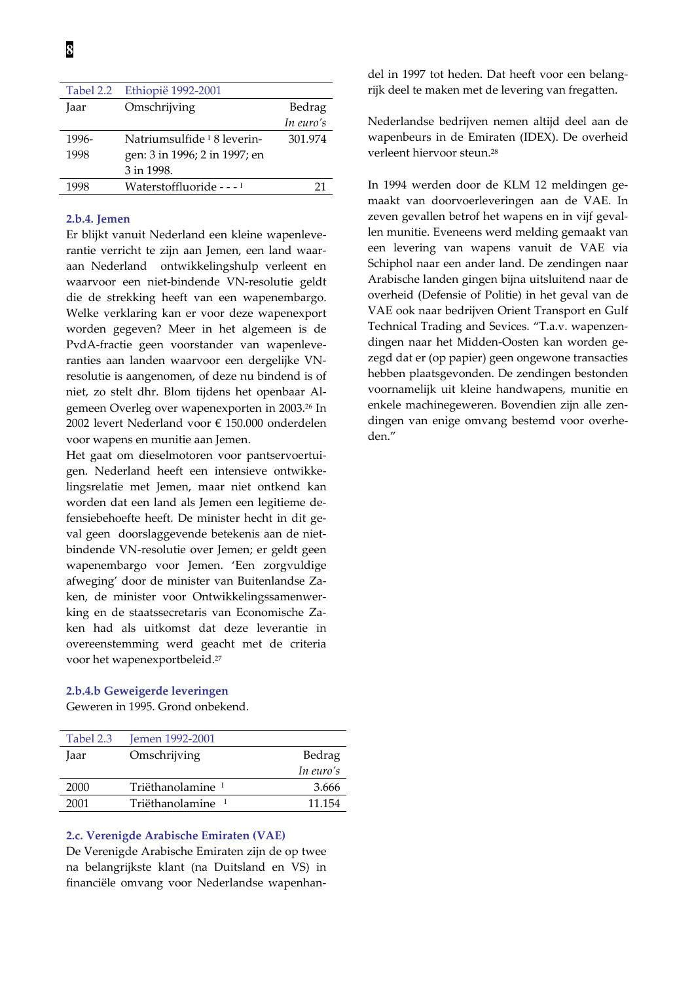| Tabel 2.2 | Ethiopië 1992-2001                     |           |
|-----------|----------------------------------------|-----------|
| Jaar      | Omschrijving                           | Bedrag    |
|           |                                        | In euro's |
| 1996-     | Natriumsulfide <sup>1</sup> 8 leverin- | 301.974   |
| 1998      | gen: 3 in 1996; 2 in 1997; en          |           |
|           | 3 in 1998.                             |           |
| 1998      | Waterstoffluoride - - - <sup>1</sup>   |           |
|           |                                        |           |

# 2.b.4. Jemen

Er blijkt vanuit Nederland een kleine wapenleverantie verricht te zijn aan Jemen, een land waaraan Nederland ontwikkelingshulp verleent en waarvoor een niet-bindende VN-resolutie geldt die de strekking heeft van een wapenembargo. Welke verklaring kan er voor deze wapenexport worden gegeven? Meer in het algemeen is de PvdA-fractie geen voorstander van wapenleveranties aan landen waarvoor een dergelijke VNresolutie is aangenomen, of deze nu bindend is of niet, zo stelt dhr. Blom tijdens het openbaar Algemeen Overleg over wapenexporten in 2003.<sup>26</sup> In 2002 levert Nederland voor € 150.000 onderdelen voor wapens en munitie aan Jemen.

Het gaat om dieselmotoren voor pantservoertuigen. Nederland heeft een intensieve ontwikkelingsrelatie met Jemen, maar niet ontkend kan worden dat een land als Jemen een legitieme defensiebehoefte heeft. De minister hecht in dit geval geen doorslaggevende betekenis aan de nietbindende VN-resolutie over Jemen; er geldt geen wapenembargo voor Jemen. 'Een zorgvuldige afweging' door de minister van Buitenlandse Zaken, de minister voor Ontwikkelingssamenwerking en de staatssecretaris van Economische Zaken had als uitkomst dat deze leverantie in overeenstemming werd geacht met de criteria voor het wapenexportbeleid.<sup>27</sup>

# 2.b.4.b Geweigerde leveringen

Geweren in 1995. Grond onbekend.

| Tabel 2.3 | Jemen 1992-2001              |           |
|-----------|------------------------------|-----------|
| Jaar      | Omschrijving                 | Bedrag    |
|           |                              | In euro's |
| 2000      | Triëthanolamine <sup>1</sup> | 3.666     |
| 2001      | Triëthanolamine <sup>1</sup> | 11.154    |

# 2.c. Verenigde Arabische Emiraten (VAE)

De Verenigde Arabische Emiraten zijn de op twee na belangrijkste klant (na Duitsland en VS) in financiële omvang voor Nederlandse wapenhandel in 1997 tot heden. Dat heeft voor een belangrijk deel te maken met de levering van fregatten.

Nederlandse bedrijven nemen altijd deel aan de wapenbeurs in de Emiraten (IDEX). De overheid verleent hiervoor steun.<sup>28</sup>

In 1994 werden door de KLM 12 meldingen gemaakt van doorvoerleveringen aan de VAE. In zeven gevallen betrof het wapens en in vijf gevallen munitie. Eveneens werd melding gemaakt van een levering van wapens vanuit de VAE via Schiphol naar een ander land. De zendingen naar Arabische landen gingen bijna uitsluitend naar de overheid (Defensie of Politie) in het geval van de VAE ook naar bedrijven Orient Transport en Gulf Technical Trading and Sevices. "T.a.v. wapenzendingen naar het Midden-Oosten kan worden gezegd dat er (op papier) geen ongewone transacties hebben plaatsgevonden. De zendingen bestonden voornamelijk uit kleine handwapens, munitie en enkele machinegeweren. Bovendien zijn alle zendingen van enige omvang bestemd voor overheden."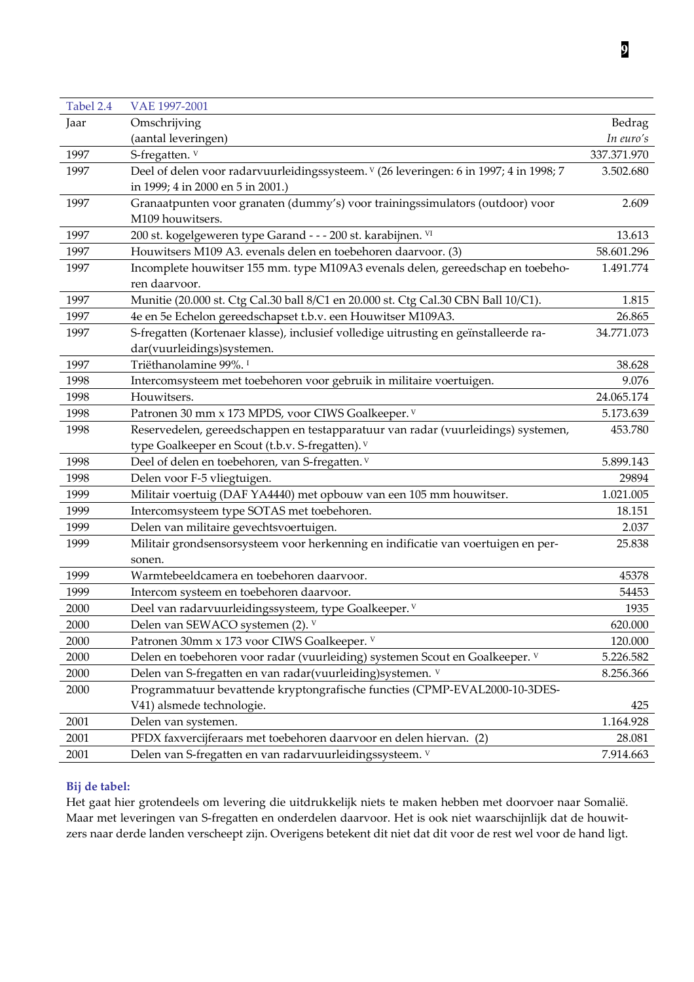| Tabel 2.4 | VAE 1997-2001                                                                          |             |
|-----------|----------------------------------------------------------------------------------------|-------------|
| Jaar      | Omschrijving                                                                           | Bedrag      |
|           | (aantal leveringen)                                                                    | In euro's   |
| 1997      | S-fregatten. V                                                                         | 337.371.970 |
| 1997      | Deel of delen voor radarvuurleidingssysteem. V (26 leveringen: 6 in 1997; 4 in 1998; 7 | 3.502.680   |
|           | in 1999; 4 in 2000 en 5 in 2001.)                                                      |             |
| 1997      | Granaatpunten voor granaten (dummy's) voor trainingssimulators (outdoor) voor          | 2.609       |
|           | M109 houwitsers.                                                                       |             |
| 1997      | 200 st. kogelgeweren type Garand - - - 200 st. karabijnen. VI                          | 13.613      |
| 1997      | Houwitsers M109 A3. evenals delen en toebehoren daarvoor. (3)                          | 58.601.296  |
| 1997      | Incomplete houwitser 155 mm. type M109A3 evenals delen, gereedschap en toebeho-        | 1.491.774   |
|           | ren daarvoor.                                                                          |             |
| 1997      | Munitie (20.000 st. Ctg Cal.30 ball 8/C1 en 20.000 st. Ctg Cal.30 CBN Ball 10/C1).     | 1.815       |
| 1997      | 4e en 5e Echelon gereedschapset t.b.v. een Houwitser M109A3.                           | 26.865      |
| 1997      | S-fregatten (Kortenaer klasse), inclusief volledige uitrusting en geïnstalleerde ra-   | 34.771.073  |
|           | dar(vuurleidings)systemen.                                                             |             |
| 1997      | Triëthanolamine 99%. <sup>1</sup>                                                      | 38.628      |
| 1998      | Intercomsysteem met toebehoren voor gebruik in militaire voertuigen.                   | 9.076       |
| 1998      | Houwitsers.                                                                            | 24.065.174  |
| 1998      | Patronen 30 mm x 173 MPDS, voor CIWS Goalkeeper. V                                     | 5.173.639   |
| 1998      | Reservedelen, gereedschappen en testapparatuur van radar (vuurleidings) systemen,      | 453.780     |
|           | type Goalkeeper en Scout (t.b.v. S-fregatten). V                                       |             |
| 1998      | Deel of delen en toebehoren, van S-fregatten. V                                        | 5.899.143   |
| 1998      | Delen voor F-5 vliegtuigen.                                                            | 29894       |
| 1999      | Militair voertuig (DAF YA4440) met opbouw van een 105 mm houwitser.                    | 1.021.005   |
| 1999      | Intercomsysteem type SOTAS met toebehoren.                                             | 18.151      |
| 1999      | Delen van militaire gevechtsvoertuigen.                                                | 2.037       |
| 1999      | Militair grondsensorsysteem voor herkenning en indificatie van voertuigen en per-      | 25.838      |
|           | sonen.                                                                                 |             |
| 1999      | Warmtebeeldcamera en toebehoren daarvoor.                                              | 45378       |
| 1999      | Intercom systeem en toebehoren daarvoor.                                               | 54453       |
| 2000      | Deel van radarvuurleidingssysteem, type Goalkeeper. V                                  | 1935        |
| 2000      | Delen van SEWACO systemen (2). V                                                       | 620.000     |
| 2000      | Patronen 30mm x 173 voor CIWS Goalkeeper. V                                            | 120.000     |
| 2000      | Delen en toebehoren voor radar (vuurleiding) systemen Scout en Goalkeeper. V           | 5.226.582   |
| 2000      | Delen van S-fregatten en van radar(vuurleiding) systemen. V                            | 8.256.366   |
| 2000      | Programmatuur bevattende kryptongrafische functies (CPMP-EVAL2000-10-3DES-             |             |
|           | V41) alsmede technologie.                                                              | 425         |
| 2001      | Delen van systemen.                                                                    | 1.164.928   |
| 2001      | PFDX faxvercijferaars met toebehoren daarvoor en delen hiervan. (2)                    | 28.081      |
| 2001      | Delen van S-fregatten en van radarvuurleidingssysteem. V                               | 7.914.663   |

# Bij de tabel:

Het gaat hier grotendeels om levering die uitdrukkelijk niets te maken hebben met doorvoer naar Somalië. Maar met leveringen van S-fregatten en onderdelen daarvoor. Het is ook niet waarschijnlijk dat de houwitzers naar derde landen verscheept zijn. Overigens betekent dit niet dat dit voor de rest wel voor de hand ligt.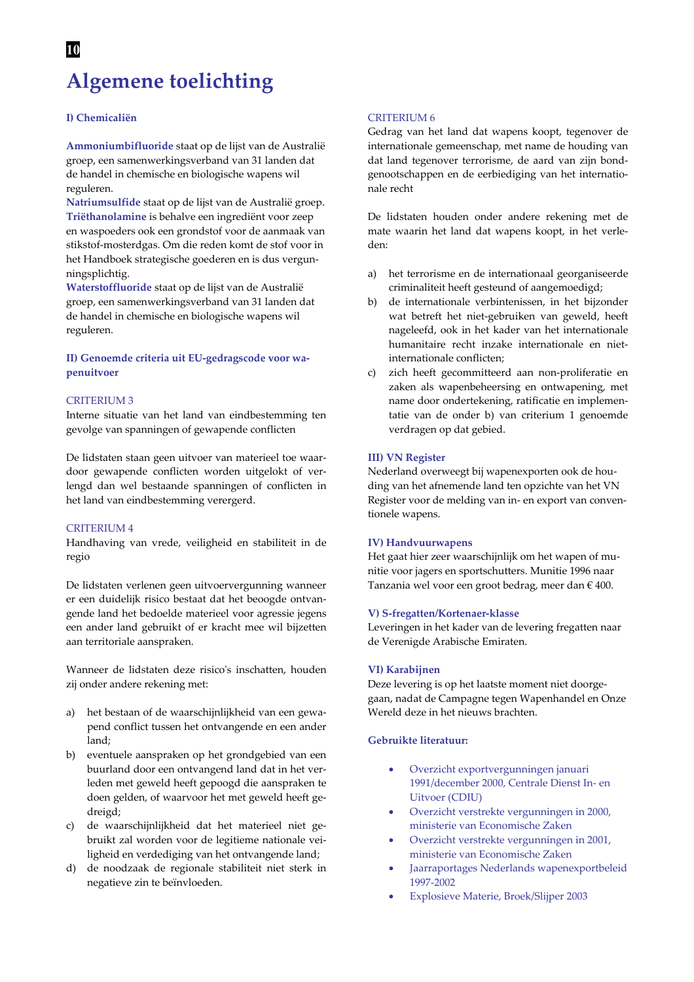# 10 **Algemene toelichting**

### I) Chemicaliën

Ammoniumbifluoride staat op de lijst van de Australië groep, een samenwerkingsverband van 31 landen dat de handel in chemische en biologische wapens wil reguleren.

Natriumsulfide staat op de lijst van de Australië groep. Triëthanolamine is behalve een ingrediënt voor zeep en waspoeders ook een grondstof voor de aanmaak van stikstof-mosterdgas. Om die reden komt de stof voor in het Handboek strategische goederen en is dus vergunningsplichtig.

Waterstoffluoride staat op de lijst van de Australië groep, een samenwerkingsverband van 31 landen dat de handel in chemische en biologische wapens wil reguleren.

## II) Genoemde criteria uit EU-gedragscode voor wapenuitvoer

#### **CRITERIUM 3**

Interne situatie van het land van eindbestemming ten gevolge van spanningen of gewapende conflicten

De lidstaten staan geen uitvoer van materieel toe waardoor gewapende conflicten worden uitgelokt of verlengd dan wel bestaande spanningen of conflicten in het land van eindbestemming verergerd.

### **CRITERIUM 4**

Handhaving van vrede, veiligheid en stabiliteit in de regio

De lidstaten verlenen geen uitvoervergunning wanneer er een duidelijk risico bestaat dat het beoogde ontvangende land het bedoelde materieel voor agressie jegens een ander land gebruikt of er kracht mee wil bijzetten aan territoriale aanspraken.

Wanneer de lidstaten deze risico's inschatten, houden zij onder andere rekening met:

- het bestaan of de waarschijnlijkheid van een gewaa) pend conflict tussen het ontvangende en een ander land;
- $h)$ eventuele aanspraken op het grondgebied van een buurland door een ontvangend land dat in het verleden met geweld heeft gepoogd die aanspraken te doen gelden, of waarvoor het met geweld heeft gedreigd;
- $c)$ de waarschijnlijkheid dat het materieel niet gebruikt zal worden voor de legitieme nationale veiligheid en verdediging van het ontvangende land;
- d) de noodzaak de regionale stabiliteit niet sterk in negatieve zin te beïnvloeden.

#### **CRITERIUM 6**

Gedrag van het land dat wapens koopt, tegenover de internationale gemeenschap, met name de houding van dat land tegenover terrorisme, de aard van zijn bondgenootschappen en de eerbiediging van het internationale recht

De lidstaten houden onder andere rekening met de mate waarin het land dat wapens koopt, in het verleden:

- het terrorisme en de internationaal georganiseerde a) criminaliteit heeft gesteund of aangemoedigd;
- $b)$ de internationale verbintenissen, in het bijzonder wat betreft het niet-gebruiken van geweld, heeft nageleefd, ook in het kader van het internationale humanitaire recht inzake internationale en nietinternationale conflicten;
- zich heeft gecommitteerd aan non-proliferatie en  $\mathcal{C}$ zaken als wapenbeheersing en ontwapening, met name door ondertekening, ratificatie en implementatie van de onder b) van criterium 1 genoemde verdragen op dat gebied.

#### **III) VN Register**

Nederland overweegt bij wapenexporten ook de houding van het afnemende land ten opzichte van het VN Register voor de melding van in- en export van conventionele wapens.

#### **IV)** Handvuurwapens

Het gaat hier zeer waarschijnlijk om het wapen of munitie voor jagers en sportschutters. Munitie 1996 naar Tanzania wel voor een groot bedrag, meer dan  $\epsilon$  400.

#### V) S-fregatten/Kortenaer-klasse

Leveringen in het kader van de levering fregatten naar de Verenigde Arabische Emiraten.

#### VI) Karabijnen

Deze levering is op het laatste moment niet doorgegaan, nadat de Campagne tegen Wapenhandel en Onze Wereld deze in het nieuws brachten.

### Gebruikte literatuur:

- Overzicht exportvergunningen januari 1991/december 2000, Centrale Dienst In- en **Uitvoer (CDIU)**
- Overzicht verstrekte vergunningen in 2000, ministerie van Economische Zaken
- Overzicht verstrekte vergunningen in 2001, ministerie van Economische Zaken
- Jaarraportages Nederlands wapenexportbeleid 1997-2002
- Explosieve Materie, Broek/Slijper 2003